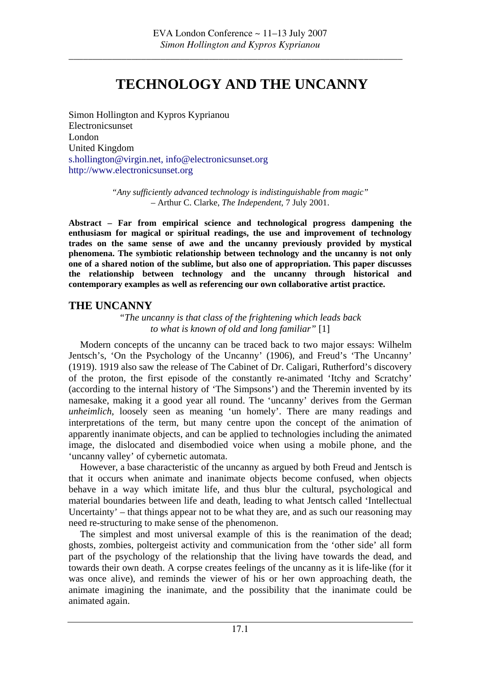# **TECHNOLOGY AND THE UNCANNY**

Simon Hollington and Kypros Kyprianou Electronicsunset London United Kingdom [s.hollington@virgin.net,](mailto:s.hollington@virgin.net) [info@electronicsunset.org](mailto:info@electronicsunset.org) [http://www.electronicsunset.org](http://www.electronicsunset.org/)

> *"Any sufficiently advanced technology is indistinguishable from magic"*  – Arthur C. Clarke, *The Independent*, 7 July 2001.

**Abstract – Far from empirical science and technological progress dampening the enthusiasm for magical or spiritual readings, the use and improvement of technology trades on the same sense of awe and the uncanny previously provided by mystical phenomena. The symbiotic relationship between technology and the uncanny is not only one of a shared notion of the sublime, but also one of appropriation. This paper discusses the relationship between technology and the uncanny through historical and contemporary examples as well as referencing our own collaborative artist practice.** 

## **THE UNCANNY**

*"The uncanny is that class of the frightening which leads back to what is known of old and long familiar"* [1]

Modern concepts of the uncanny can be traced back to two major essays: Wilhelm Jentsch's, 'On the Psychology of the Uncanny' (1906), and Freud's 'The Uncanny' (1919). 1919 also saw the release of The Cabinet of Dr. Caligari, Rutherford's discovery of the proton, the first episode of the constantly re-animated 'Itchy and Scratchy' (according to the internal history of 'The Simpsons') and the Theremin invented by its namesake, making it a good year all round. The 'uncanny' derives from the German *unheimlich*, loosely seen as meaning 'un homely'. There are many readings and interpretations of the term, but many centre upon the concept of the animation of apparently inanimate objects, and can be applied to technologies including the animated image, the dislocated and disembodied voice when using a mobile phone, and the 'uncanny valley' of cybernetic automata.

However, a base characteristic of the uncanny as argued by both Freud and Jentsch is that it occurs when animate and inanimate objects become confused, when objects behave in a way which imitate life, and thus blur the cultural, psychological and material boundaries between life and death, leading to what Jentsch called 'Intellectual Uncertainty' – that things appear not to be what they are, and as such our reasoning may need re-structuring to make sense of the phenomenon.

The simplest and most universal example of this is the reanimation of the dead; ghosts, zombies, poltergeist activity and communication from the 'other side' all form part of the psychology of the relationship that the living have towards the dead, and towards their own death. A corpse creates feelings of the uncanny as it is life-like (for it was once alive), and reminds the viewer of his or her own approaching death, the animate imagining the inanimate, and the possibility that the inanimate could be animated again.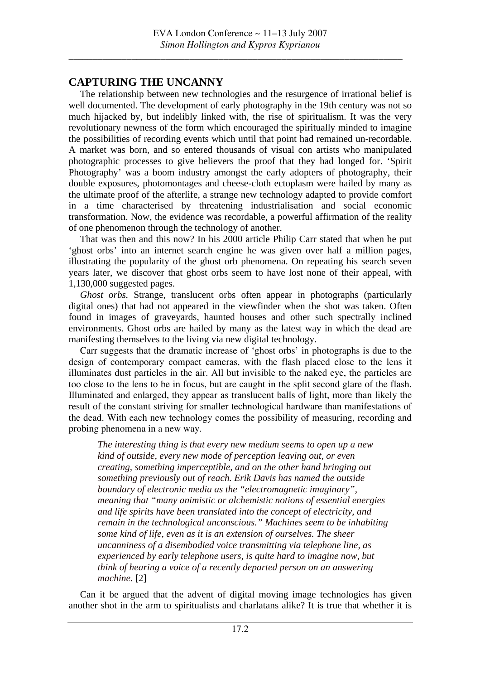# **CAPTURING THE UNCANNY**

The relationship between new technologies and the resurgence of irrational belief is well documented. The development of early photography in the 19th century was not so much hijacked by, but indelibly linked with, the rise of spiritualism. It was the very revolutionary newness of the form which encouraged the spiritually minded to imagine the possibilities of recording events which until that point had remained un-recordable. A market was born, and so entered thousands of visual con artists who manipulated photographic processes to give believers the proof that they had longed for. 'Spirit Photography' was a boom industry amongst the early adopters of photography, their double exposures, photomontages and cheese-cloth ectoplasm were hailed by many as the ultimate proof of the afterlife, a strange new technology adapted to provide comfort in a time characterised by threatening industrialisation and social economic transformation. Now, the evidence was recordable, a powerful affirmation of the reality of one phenomenon through the technology of another.

That was then and this now? In his 2000 article Philip Carr stated that when he put 'ghost orbs' into an internet search engine he was given over half a million pages, illustrating the popularity of the ghost orb phenomena. On repeating his search seven years later, we discover that ghost orbs seem to have lost none of their appeal, with 1,130,000 suggested pages.

*Ghost orbs.* Strange, translucent orbs often appear in photographs (particularly digital ones) that had not appeared in the viewfinder when the shot was taken. Often found in images of graveyards, haunted houses and other such spectrally inclined environments. Ghost orbs are hailed by many as the latest way in which the dead are manifesting themselves to the living via new digital technology.

Carr suggests that the dramatic increase of 'ghost orbs' in photographs is due to the design of contemporary compact cameras, with the flash placed close to the lens it illuminates dust particles in the air. All but invisible to the naked eye, the particles are too close to the lens to be in focus, but are caught in the split second glare of the flash. Illuminated and enlarged, they appear as translucent balls of light, more than likely the result of the constant striving for smaller technological hardware than manifestations of the dead. With each new technology comes the possibility of measuring, recording and probing phenomena in a new way.

*The interesting thing is that every new medium seems to open up a new kind of outside, every new mode of perception leaving out, or even creating, something imperceptible, and on the other hand bringing out something previously out of reach. Erik Davis has named the outside boundary of electronic media as the "electromagnetic imaginary", meaning that "many animistic or alchemistic notions of essential energies and life spirits have been translated into the concept of electricity, and remain in the technological unconscious." Machines seem to be inhabiting some kind of life, even as it is an extension of ourselves. The sheer uncanniness of a disembodied voice transmitting via telephone line, as experienced by early telephone users, is quite hard to imagine now, but think of hearing a voice of a recently departed person on an answering machine.* [2]

Can it be argued that the advent of digital moving image technologies has given another shot in the arm to spiritualists and charlatans alike? It is true that whether it is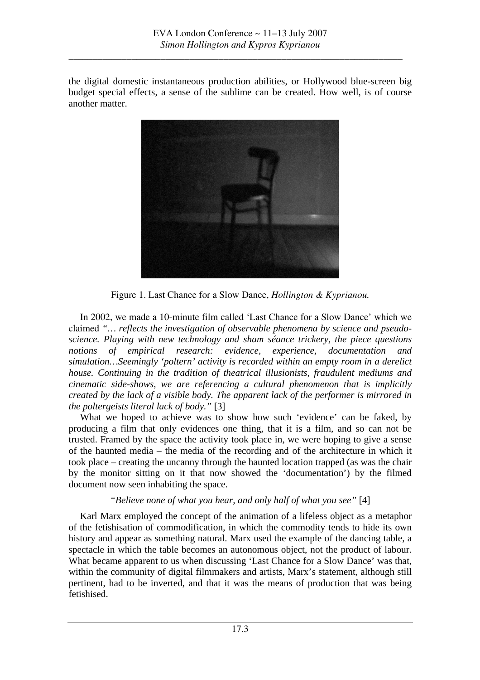the digital domestic instantaneous production abilities, or Hollywood blue-screen big budget special effects, a sense of the sublime can be created. How well, is of course another matter.



Figure 1. Last Chance for a Slow Dance, *Hollington & Kyprianou.*

In 2002, we made a 10-minute film called 'Last Chance for a Slow Dance' which we claimed *"… reflects the investigation of observable phenomena by science and pseudoscience. Playing with new technology and sham séance trickery, the piece questions notions of empirical research: evidence, experience, documentation and simulation…Seemingly 'poltern' activity is recorded within an empty room in a derelict house. Continuing in the tradition of theatrical illusionists, fraudulent mediums and cinematic side-shows, we are referencing a cultural phenomenon that is implicitly created by the lack of a visible body. The apparent lack of the performer is mirrored in the poltergeists literal lack of body."* [3]

What we hoped to achieve was to show how such 'evidence' can be faked, by producing a film that only evidences one thing, that it is a film, and so can not be trusted. Framed by the space the activity took place in, we were hoping to give a sense of the haunted media – the media of the recording and of the architecture in which it took place – creating the uncanny through the haunted location trapped (as was the chair by the monitor sitting on it that now showed the 'documentation') by the filmed document now seen inhabiting the space.

*"Believe none of what you hear, and only half of what you see"* [4]

Karl Marx employed the concept of the animation of a lifeless object as a metaphor of the fetishisation of commodification, in which the commodity tends to hide its own history and appear as something natural. Marx used the example of the dancing table, a spectacle in which the table becomes an autonomous object, not the product of labour. What became apparent to us when discussing 'Last Chance for a Slow Dance' was that, within the community of digital filmmakers and artists, Marx's statement, although still pertinent, had to be inverted, and that it was the means of production that was being fetishised.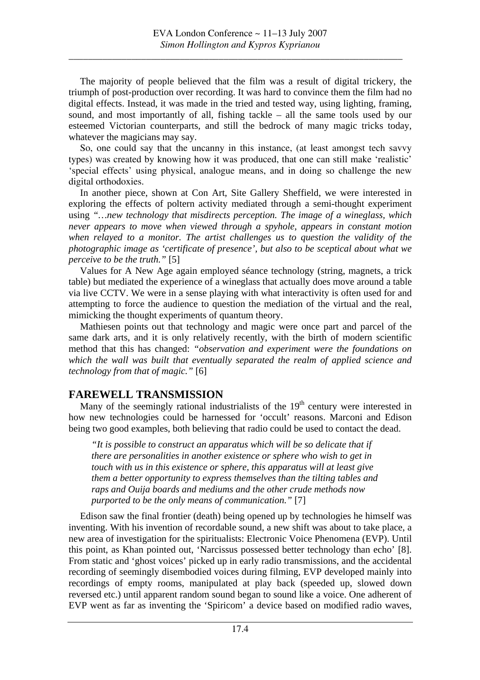The majority of people believed that the film was a result of digital trickery, the triumph of post-production over recording. It was hard to convince them the film had no digital effects. Instead, it was made in the tried and tested way, using lighting, framing, sound, and most importantly of all, fishing tackle – all the same tools used by our esteemed Victorian counterparts, and still the bedrock of many magic tricks today, whatever the magicians may say.

So, one could say that the uncanny in this instance, (at least amongst tech savvy types) was created by knowing how it was produced, that one can still make 'realistic' 'special effects' using physical, analogue means, and in doing so challenge the new digital orthodoxies.

In another piece, shown at Con Art, Site Gallery Sheffield, we were interested in exploring the effects of poltern activity mediated through a semi-thought experiment using *"…new technology that misdirects perception. The image of a wineglass, which never appears to move when viewed through a spyhole, appears in constant motion when relayed to a monitor. The artist challenges us to question the validity of the photographic image as 'certificate of presence', but also to be sceptical about what we perceive to be the truth."* [5]

Values for A New Age again employed séance technology (string, magnets, a trick table) but mediated the experience of a wineglass that actually does move around a table via live CCTV. We were in a sense playing with what interactivity is often used for and attempting to force the audience to question the mediation of the virtual and the real, mimicking the thought experiments of quantum theory.

Mathiesen points out that technology and magic were once part and parcel of the same dark arts, and it is only relatively recently, with the birth of modern scientific method that this has changed: *"observation and experiment were the foundations on which the wall was built that eventually separated the realm of applied science and technology from that of magic."* [6]

### **FAREWELL TRANSMISSION**

Many of the seemingly rational industrialists of the  $19<sup>th</sup>$  century were interested in how new technologies could be harnessed for 'occult' reasons. Marconi and Edison being two good examples, both believing that radio could be used to contact the dead.

*"It is possible to construct an apparatus which will be so delicate that if there are personalities in another existence or sphere who wish to get in touch with us in this existence or sphere, this apparatus will at least give them a better opportunity to express themselves than the tilting tables and raps and Ouija boards and mediums and the other crude methods now purported to be the only means of communication."* [7]

Edison saw the final frontier (death) being opened up by technologies he himself was inventing. With his invention of recordable sound, a new shift was about to take place, a new area of investigation for the spiritualists: Electronic Voice Phenomena (EVP). Until this point, as Khan pointed out, 'Narcissus possessed better technology than echo' [8]. From static and 'ghost voices' picked up in early radio transmissions, and the accidental recording of seemingly disembodied voices during filming, EVP developed mainly into recordings of empty rooms, manipulated at play back (speeded up, slowed down reversed etc.) until apparent random sound began to sound like a voice. One adherent of EVP went as far as inventing the 'Spiricom' a device based on modified radio waves,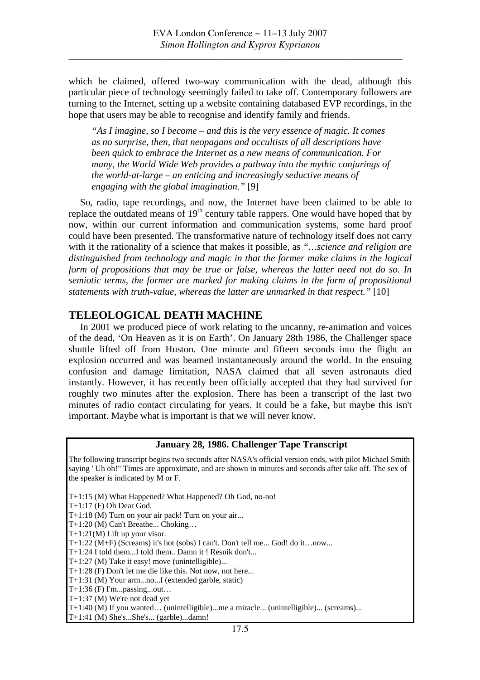which he claimed, offered two-way communication with the dead, although this particular piece of technology seemingly failed to take off. Contemporary followers are turning to the Internet, setting up a website containing databased EVP recordings, in the hope that users may be able to recognise and identify family and friends.

*"As I imagine, so I become* – *and this is the very essence of magic. It comes as no surprise, then, that neopagans and occultists of all descriptions have been quick to embrace the Internet as a new means of communication. For many, the World Wide Web provides a pathway into the mythic conjurings of the world-at-large* – *an enticing and increasingly seductive means of engaging with the global imagination*.*"* [9]

So, radio, tape recordings, and now, the Internet have been claimed to be able to replace the outdated means of  $19<sup>th</sup>$  century table rappers. One would have hoped that by now, within our current information and communication systems, some hard proof could have been presented. The transformative nature of technology itself does not carry with it the rationality of a science that makes it possible, as *"…science and religion are distinguished from technology and magic in that the former make claims in the logical form of propositions that may be true or false, whereas the latter need not do so. In semiotic terms, the former are marked for making claims in the form of propositional statements with truth-value, whereas the latter are unmarked in that respect."* [10]

#### **TELEOLOGICAL DEATH MACHINE**

In 2001 we produced piece of work relating to the uncanny, re-animation and voices of the dead, 'On Heaven as it is on Earth'. On January 28th 1986, the Challenger space shuttle lifted off from Huston. One minute and fifteen seconds into the flight an explosion occurred and was beamed instantaneously around the world. In the ensuing confusion and damage limitation, NASA claimed that all seven astronauts died instantly. However, it has recently been officially accepted that they had survived for roughly two minutes after the explosion. There has been a transcript of the last two minutes of radio contact circulating for years. It could be a fake, but maybe this isn't important. Maybe what is important is that we will never know.

#### **January 28, 1986. Challenger Tape Transcript**

The following transcript begins two seconds after NASA's official version ends, with pilot Michael Smith saying ' Uh oh!" Times are approximate, and are shown in minutes and seconds after take off. The sex of the speaker is indicated by M or F.

T+1:15 (M) What Happened? What Happened? Oh God, no-no!

- T+1:17 (F) Oh Dear God.
- T+1:18 (M) Turn on your air pack! Turn on your air...
- T+1:20 (M) Can't Breathe... Choking…
- T+1:21(M) Lift up your visor.
- T+1:22 (M+F) (Screams) it's hot (sobs) I can't. Don't tell me... God! do it…now...
- T+1:24 I told them...I told them.. Damn it ! Resnik don't...
- T+1:27 (M) Take it easy! move (unintelligible)...
- T+1:28 (F) Don't let me die like this. Not now, not here...
- T+1:31 (M) Your arm...no...I (extended garble, static)
- $T+1:36$  (F) I'm...passing...out...
- T+1:37 (M) We're not dead yet

T+1:40 (M) If you wanted... (unintelligible)...me a miracle... (unintelligible)... (screams)...

T+1:41 (M) She's...She's... (garble)...damn!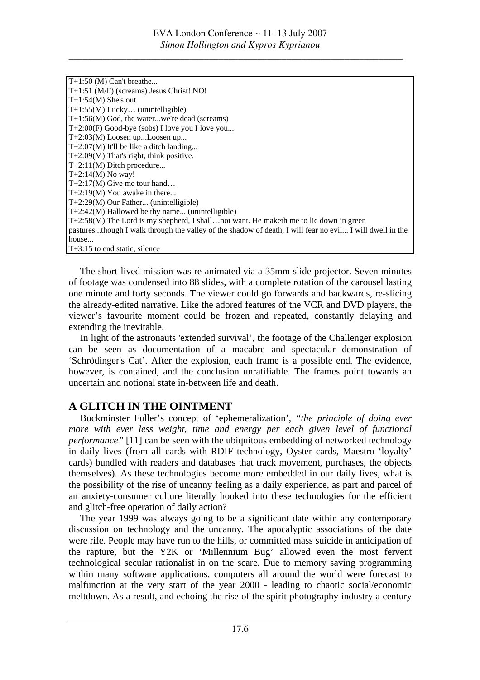| T+1:50 (M) Can't breathe                                                                                 |
|----------------------------------------------------------------------------------------------------------|
| T+1:51 (M/F) (screams) Jesus Christ! NO!                                                                 |
| $T+1:54(M)$ She's out.                                                                                   |
| $T+1:55(M)$ Lucky (unintelligible)                                                                       |
| $T+1:56(M)$ God, the waterwe're dead (screams)                                                           |
| T+2:00(F) Good-bye (sobs) I love you I love you                                                          |
| T+2:03(M) Loosen upLoosen up                                                                             |
| $T+2:07(M)$ It'll be like a ditch landing                                                                |
| $T+2:09(M)$ That's right, think positive.                                                                |
| T+2:11(M) Ditch procedure                                                                                |
| $T+2:14(M)$ No way!                                                                                      |
| $T+2:17(M)$ Give me tour hand                                                                            |
| $T+2:19(M)$ You awake in there                                                                           |
| $T+2:29(M)$ Our Father (unintelligible)                                                                  |
| $T+2:42(M)$ Hallowed be thy name (unintelligible)                                                        |
| $T+2:58(M)$ The Lord is my shepherd, I shall not want. He make the me to lie down in green               |
| pasturesthough I walk through the valley of the shadow of death, I will fear no evil I will dwell in the |
| house                                                                                                    |
| $T+3:15$ to end static, silence                                                                          |

The short-lived mission was re-animated via a 35mm slide projector. Seven minutes of footage was condensed into 88 slides, with a complete rotation of the carousel lasting one minute and forty seconds. The viewer could go forwards and backwards, re-slicing the already-edited narrative. Like the adored features of the VCR and DVD players, the viewer's favourite moment could be frozen and repeated, constantly delaying and extending the inevitable.

In light of the astronauts 'extended survival', the footage of the Challenger explosion can be seen as documentation of a macabre and spectacular demonstration of 'Schrödinger's Cat'. After the explosion, each frame is a possible end. The evidence, however, is contained, and the conclusion unratifiable. The frames point towards an uncertain and notional state in-between life and death.

# **GLITCH IN THE OINTMENT A**

Buckminster Fuller's concept of 'ephemeralization', "the principle of doing ever *mo re with ever less [weight,](http://www.nous.org.uk/weight.html) time and [energy](http://www.nous.org.uk/energy.html) per each given level of functional [performance](http://www.nous.org.uk/performance.html)*<sup>"</sup> [11] can be seen with the ubiquitous embedding of networked technology in daily lives (from all cards with RDIF technology, Oyster cards, Maestro 'loyalty' cards) bundled with readers and databases that track movement, purchases, the objects themselves). As these technologies become more embedded in our daily lives, what is the possibility of the rise of uncanny feeling as a daily experience, as part and parcel of an anxiety-consumer culture literally hooked into these technologies for the efficient and glitch-free operation of daily action?

The year 1999 was always going to be a significant date within any contemporary dis cussion on technology and the uncanny. The apocalyptic associations of the date were rife. People may have run to the hills, or committed mass suicide in anticipation of the rapture, but the Y2K or 'Millennium Bug' allowed even the most fervent technological secular rationalist in on the scare. Due to memory saving programming within many software applications, computers all around the world were forecast to malfunction at the very start of the year 2000 - leading to chaotic social/economic meltdown. As a result, and echoing the rise of the spirit photography industry a century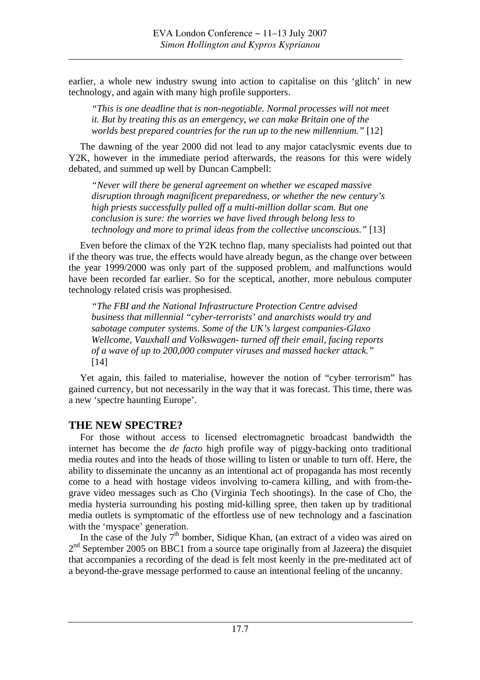earlier, a whole new industry swung into action to capitalise on this 'glitch' in new technology, and again with many high profile supporters.

*"This is one deadline that is non-negotiable. Normal processes will not meet it. But by treating this as an emergency, we can make Britain one of the worlds best prepared countries for the run up to the new millennium."* [12]

The dawning of the year 2000 did not lead to any major cataclysmic events due to Y2K, however in the immediate period afterwards, the reasons for this were widely debated, and summed up well by Duncan Campbell:

*"Never will there be general agreement on whether we escaped massive disruption through magnificent preparedness, or whether the new century's high priests successfully pulled off a multi-million dollar scam. But one conclusion is sure: the worries we have lived through belong less to technology and more to primal ideas from the collective unconscious."* [13]

Even before the climax of the Y2K techno flap, many specialists had pointed out that if the theory was true, the effects would have already begun, as the change over between the year 1999/2000 was only part of the supposed problem, and malfunctions would have been recorded far earlier. So for the sceptical, another, more nebulous computer technology related crisis was prophesised.

*"The FBI and the National Infrastructure Protection Centre advised business that millennial "cyber-terrorists' and anarchists would try and sabotage computer systems. Some of the UK's largest companies-Glaxo Wellcome, Vauxhall and Volkswagen- turned off their email, facing reports of a wave of up to 200,000 computer viruses and massed hacker attack."*  [14]

Yet again, this failed to materialise, however the notion of "cyber terrorism" has gained currency, but not necessarily in the way that it was forecast. This time, there was a new 'spectre haunting Europe'.

### **THE NEW SPECTRE?**

For those without access to licensed electromagnetic broadcast bandwidth the internet has become the *de facto* high profile way of piggy-backing onto traditional media routes and into the heads of those willing to listen or unable to turn off. Here, the ability to disseminate the uncanny as an intentional act of propaganda has most recently come to a head with hostage videos involving to-camera killing, and with from-thegrave video messages such as Cho (Virginia Tech shootings). In the case of Cho, the media hysteria surrounding his posting mid-killing spree, then taken up by traditional media outlets is symptomatic of the effortless use of new technology and a fascination with the 'myspace' generation.

In the case of the July  $7<sup>th</sup>$  bomber, Sidique Khan, (an extract of a video was aired on  $2<sup>nd</sup>$  September 2005 on BBC1 from a source tape originally from al Jazeera) the disquiet that accompanies a recording of the dead is felt most keenly in the pre-meditated act of a beyond-the-grave message performed to cause an intentional feeling of the uncanny.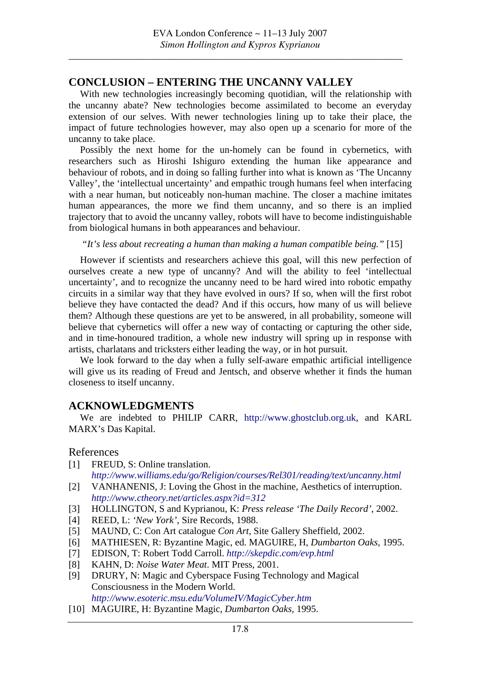### **CONCLUSION – ENTERING THE UNCANNY VALLEY**

With new technologies increasingly becoming quotidian, will the relationship with the uncanny abate? New technologies become assimilated to become an everyday extension of our selves. With newer technologies lining up to take their place, the impact of future technologies however, may also open up a scenario for more of the uncanny to take place.

Possibly the next home for the un-homely can be found in cybernetics, with researchers such as Hiroshi Ishiguro extending the human like appearance and behaviour of robots, and in doing so falling further into what is known as 'The Uncanny Valley', the 'intellectual uncertainty' and empathic trough humans feel when interfacing with a near human, but noticeably non-human machine. The closer a machine imitates human appearances, the more we find them uncanny, and so there is an implied trajectory that to avoid the uncanny valley, robots will have to become indistinguishable from biological humans in both appearances and behaviour.

 *"It's less about recreating a human than making a human compatible being."* [15]

However if scientists and researchers achieve this goal, will this new perfection of ourselves create a new type of uncanny? And will the ability to feel 'intellectual uncertainty', and to recognize the uncanny need to be hard wired into robotic empathy circuits in a similar way that they have evolved in ours? If so, when will the first robot believe they have contacted the dead? And if this occurs, how many of us will believe them? Although these questions are yet to be answered, in all probability, someone will believe that cybernetics will offer a new way of contacting or capturing the other side, and in time-honoured tradition, a whole new industry will spring up in response with artists, charlatans and tricksters either leading the way, or in hot pursuit.

We look forward to the day when a fully self-aware empathic artificial intelligence will give us its reading of Freud and Jentsch, and observe whether it finds the human closeness to itself uncanny.

# **ACKNOWLEDGMENTS**

We are indebted to PHILIP CARR, [http://www.ghostclub.org.uk](http://www.ghostclub.org.uk/), and KARL MARX's Das Kapital.

#### References

[1] FREUD, S: Online translation.

*<http://www.williams.edu/go/Religion/courses/Rel301/reading/text/uncanny.html>*

- [2] VANHANENIS, J: Loving the Ghost in the machine, Aesthetics of interruption. *<http://www.ctheory.net/articles.aspx?id=312>*
- [3] HOLLINGTON, S and Kyprianou, K: *Press release 'The Daily Record',* 2002.
- [4] REED, L: *'New York'*, Sire Records, 1988.
- [5] MAUND, C: Con Art catalogue *Con Art,* Site Gallery Sheffield, 2002.
- [6] MATHIESEN, R: Byzantine Magic, ed. MAGUIRE, H, *Dumbarton Oaks,* 1995.
- [7] EDISON, T: Robert Todd Carroll. *<http://skepdic.com/evp.html>*
- [8] KAHN, D: *Noise Water Meat*. MIT Press, 2001.
- [9] DRURY, N: Magic and Cyberspace Fusing Technology and Magical Consciousness in the Modern World. *<http://www.esoteric.msu.edu/VolumeIV/MagicCyber.htm>*
- [10] MAGUIRE, H: Byzantine Magic, *Dumbarton Oaks,* 1995.